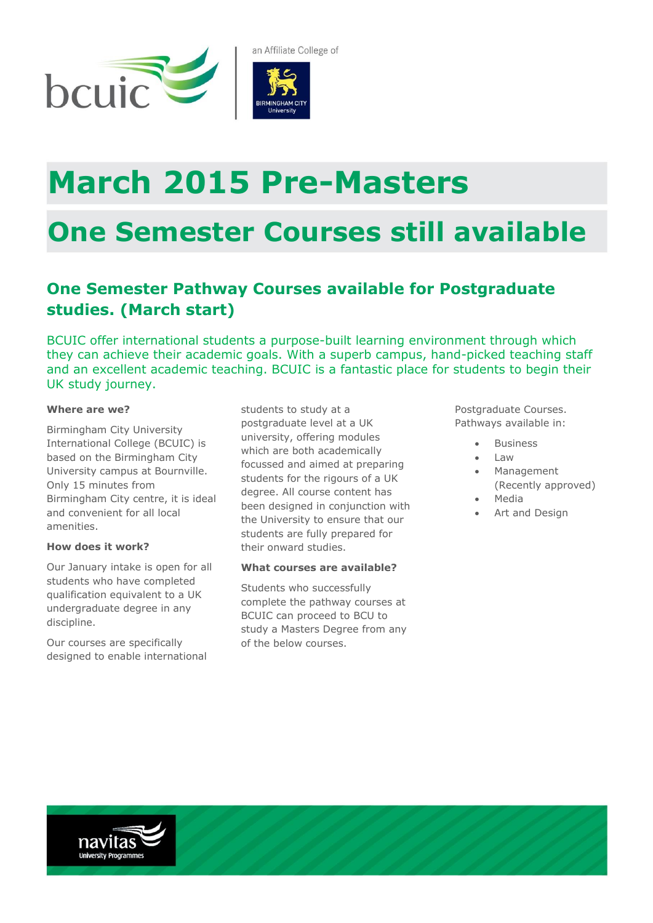

# **March 2015 Pre-Masters**

## **One Semester Courses still available**

### **One Semester Pathway Courses available for Postgraduate studies. (March start)**

BCUIC offer international students a purpose-built learning environment through which they can achieve their academic goals. With a superb campus, hand-picked teaching staff and an excellent academic teaching. BCUIC is a fantastic place for students to begin their UK study journey.

#### **Where are we?**

Birmingham City University International College (BCUIC) is based on the Birmingham City University campus at Bournville. Only 15 minutes from Birmingham City centre, it is ideal and convenient for all local amenities.

#### **How does it work?**

Our January intake is open for all students who have completed qualification equivalent to a UK undergraduate degree in any discipline.

Our courses are specifically designed to enable international

students to study at a postgraduate level at a UK university, offering modules which are both academically focussed and aimed at preparing students for the rigours of a UK degree. All course content has been designed in conjunction with the University to ensure that our students are fully prepared for their onward studies.

#### **What courses are available?**

Students who successfully complete the pathway courses at BCUIC can proceed to BCU to study a Masters Degree from any of the below courses.

Postgraduate Courses. Pathways available in:

- Business
- Law
- Management (Recently approved)
- Media
- Art and Design